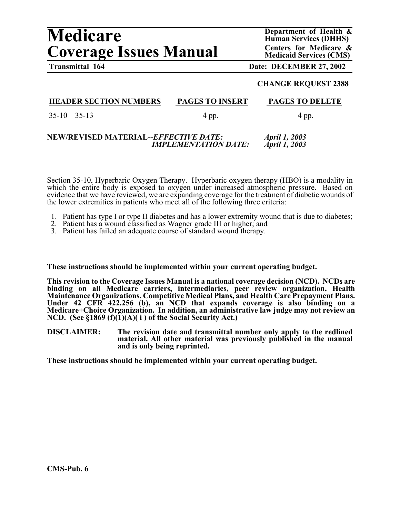# **Medicare** Department of Health &<br>
Human Services (DHHS)<br>
Centers for Medicare & **Coverage Issues Manual Centers for Medicare & Coverage Issues Manual Centers for Medicare &**

**Human Services (DHHS)** 

# **Transmittal 164 Date: DECEMBER 27, 2002**

#### **CHANGE REQUEST 2388**

# **HEADER SECTION NUMBERS PAGES TO INSERT PAGES TO DELETE**

I  $35-10-35-13$  4 pp. 4 pp. 4 pp.

#### **NEW/REVISED MATERIAL--***EFFECTIVE DATE: April 1, 2003 IMPLEMENTATION DATE: April 1, 2003*

Section 35-10, Hyperbaric Oxygen Therapy. Hyperbaric oxygen therapy (HBO) is a modality in which the entire body is exposed to oxygen under increased atmospheric pressure. Based on evidence that we have reviewed, we are expanding coverage for the treatment of diabetic wounds of the lower extremities in patients who meet all of the following three criteria:

- 1. Patient has type I or type II diabetes and has a lower extremity wound that is due to diabetes;
- 2. Patient has a wound classified as Wagner grade III or higher; and
- 3. Patient has failed an adequate course of standard wound therapy.

#### **These instructions should be implemented within your current operating budget.**

**This revision to the Coverage Issues Manual is a national coverage decision (NCD). NCDs are binding on all Medicare carriers, intermediaries, peer review organization, Health Maintenance Organizations, Competitive Medical Plans, and Health Care Prepayment Plans. Under 42 CFR 422.256 (b), an NCD that expands coverage is also binding on a Medicare+Choice Organization. In addition, an administrative law judge may not review an NCD. (See §1869 (f)(1)(A)( i ) of the Social Security Act.)** 

**DISCLAIMER: The revision date and transmittal number only apply to the redlined material. All other material was previously published in the manual and is only being reprinted.** 

**These instructions should be implemented within your current operating budget.**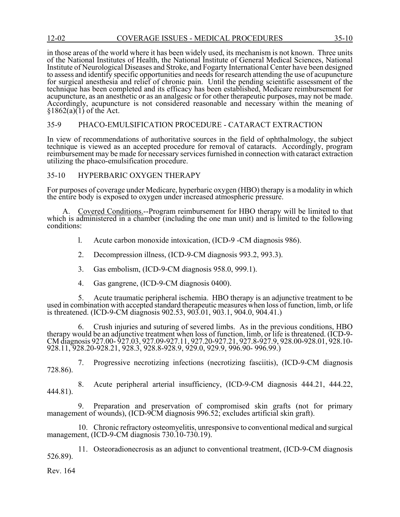in those areas of the world where it has been widely used, its mechanism is not known. Three units of the National Institutes of Health, the National Institute of General Medical Sciences, National Institute of Neurological Diseases and Stroke, and Fogarty International Center have been designed to assess and identify specific opportunities and needs for research attending the use of acupuncture for surgical anesthesia and relief of chronic pain. Until the pending scientific assessment of the technique has been completed and its efficacy has been established, Medicare reimbursement for acupuncture, as an anesthetic or as an analgesic or for other therapeutic purposes, may not be made. Accordingly, acupuncture is not considered reasonable and necessary within the meaning of  $§1862(a)(1)$  of the Act.

#### 35-9 PHACO-EMULSIFICATION PROCEDURE - CATARACT EXTRACTION

In view of recommendations of authoritative sources in the field of ophthalmology, the subject technique is viewed as an accepted procedure for removal of cataracts. Accordingly, program reimbursement may be made for necessary services furnished in connection with cataract extraction utilizing the phaco-emulsification procedure.

#### 35-10 HYPERBARIC OXYGEN THERAPY

For purposes of coverage under Medicare, hyperbaric oxygen (HBO) therapy is a modality in which the entire body is exposed to oxygen under increased atmospheric pressure.

A. Covered Conditions.--Program reimbursement for HBO therapy will be limited to that which is administered in a chamber (including the one man unit) and is limited to the following conditions:

- l. Acute carbon monoxide intoxication, (ICD-9 -CM diagnosis 986).
- 2. Decompression illness, (ICD-9-CM diagnosis 993.2, 993.3).
- 3. Gas embolism, (ICD-9-CM diagnosis 958.0, 999.1).
- 4. Gas gangrene, (ICD-9-CM diagnosis 0400).

5. Acute traumatic peripheral ischemia. HBO therapy is an adjunctive treatment to be used in combination with accepted standard therapeutic measures when loss of function, limb, or life is threatened. (ICD-9-CM diagnosis 902.53, 903.01, 903.1, 904.0, 904.41.)

6. Crush injuries and suturing of severed limbs. As in the previous conditions, HBO therapy would be an adjunctive treatment when loss of function, limb, or life is threatened. (ICD-9-<br>CM diagnosis 927.00-927.03, 927.09-927.11, 927.20-927.21, 927.8-927.9, 928.00-928.01, 928.10-<br>928.11, 928.20-928.21, 928.

7. Progressive necrotizing infections (necrotizing fasciitis), (ICD-9-CM diagnosis 728.86).

8. Acute peripheral arterial insufficiency, (ICD-9-CM diagnosis 444.21, 444.22, 444.81).

9. Preparation and preservation of compromised skin grafts (not for primary management of wounds), (ICD-9CM diagnosis 996.52; excludes artificial skin graft).

10. Chronic refractory osteomyelitis, unresponsive to conventional medical and surgical management, (ICD-9-CM diagnosis 730.10-730.19).

11. Osteoradionecrosis as an adjunct to conventional treatment, (ICD-9-CM diagnosis 526.89).

Rev. 164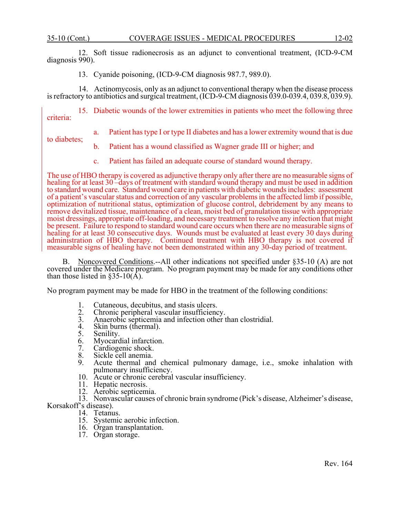12. Soft tissue radionecrosis as an adjunct to conventional treatment, (ICD-9-CM diagnosis 990).

13. Cyanide poisoning, (ICD-9-CM diagnosis 987.7, 989.0).

14. Actinomycosis, only as an adjunct to conventional therapy when the disease process is refractory to antibiotics and surgical treatment, (ICD-9-CM diagnosis 039.0-039.4, 039.8, 039.9).

15. Diabetic wounds of the lower extremities in patients who meet the following three criteria:

a. Patient has type I or type II diabetes and has a lower extremity wound that is due

to diabetes;

- b. Patient has a wound classified as Wagner grade III or higher; and
- c. Patient has failed an adequate course of standard wound therapy.

The use of HBO therapy is covered as adjunctive therapy only after there are no measurable signs of healing for at least 30 –days of treatment with standard wound therapy and must be used in addition to standard wound care. Standard wound care in patients with diabetic wounds includes: assessment of a patient's vascular status and correction of any vascular problems in the affected limb if possible, optimization of nutritional status, optimization of glucose control, debridement by any means to remove devitalized tissue, maintenance of a clean, moist bed of granulation tissue with appropriate moist dressings, appropriate off-loading, and necessary treatment to resolve any infection that might be present. Failure to respond to standard wound care occurs when there are no measurable signs of healing for at least 30 consecutive days. Wounds must be evaluated at least every 30 days during administration of HBO therapy. Continued treatment with HBO therapy is not covered if measurable signs of healing have not been demonstrated within any 30-day period of treatment.

B. Noncovered Conditions.--All other indications not specified under §35-10 (A) are not covered under the Medicare program. No program payment may be made for any conditions other than those listed in  $\S 35-10(A)$ .

No program payment may be made for HBO in the treatment of the following conditions:

- 1. Cutaneous, decubitus, and stasis ulcers.<br>2. Chronic peripheral vascular insufficienc
- 2. Chronic peripheral vascular insufficiency.<br>3. Anaerobic septicemia and infection other t
- 3. Anaerobic septicemia and infection other than clostridial.<br>4. Skin burns (thermal).
- 4. Skin burns (thermal).<br>5. Senility.
- 5. Senility.<br>6. Myocard
- 6. Myocardial infarction.<br>7. Cardiogenic shock.
- 7. Cardiogenic shock.
- 8. Sickle cell anemia.<br>9. Acute thermal and
- Acute thermal and chemical pulmonary damage, i.e., smoke inhalation with pulmonary insufficiency.
- 10. Acute or chronic cerebral vascular insufficiency.
- 11. Hepatic necrosis.
- 12. Aerobic septicemia.
- 13. Nonvascular causes of chronic brain syndrome (Pick's disease, Alzheimer's disease, Korsakoff's disease).
	- 14. Tetanus.
	- 15. Systemic aerobic infection.
	- 16. Organ transplantation.
	- 17. Organ storage.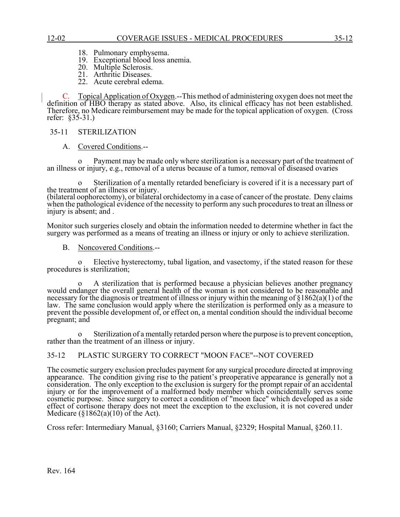- 18. Pulmonary emphysema.
- 19. Exceptional blood loss anemia.
- 20. Multiple Sclerosis.
- 21. Arthritic Diseases.
- 22. Acute cerebral edema.

C. Topical Application of Oxygen.--This method of administering oxygen does not meet the definition of HBO therapy as stated above. Also, its clinical efficacy has not been established. Therefore, no Medicare reimbursement may be made for the topical application of oxygen. (Cross refer: §35-31.)

#### 35-11 STERILIZATION

A. Covered Conditions.--

o Payment may be made only where sterilization is a necessary part of the treatment of an illness or injury, e.g., removal of a uterus because of a tumor, removal of diseased ovaries

o Sterilization of a mentally retarded beneficiary is covered if it is a necessary part of the treatment of an illness or injury. (bilateral oophorectomy), or bilateral orchidectomy in a case of cancer of the prostate. Deny claims when the pathological evidence of the necessity to perform any such procedures to treat an illness or injury is absent; and .

Monitor such surgeries closely and obtain the information needed to determine whether in fact the surgery was performed as a means of treating an illness or injury or only to achieve sterilization.

B. Noncovered Conditions.--

Elective hysterectomy, tubal ligation, and vasectomy, if the stated reason for these procedures is sterilization;

o A sterilization that is performed because a physician believes another pregnancy would endanger the overall general health of the woman is not considered to be reasonable and necessary for the diagnosis or treatment of illness or injury within the meaning of §1862(a)(1) of the law. The same conclusion would apply where the sterilization is performed only as a measure to prevent the possible development of, or effect on, a mental condition should the individual become pregnant; and

o Sterilization of a mentally retarded person where the purpose is to prevent conception, rather than the treatment of an illness or injury.

# 35-12 PLASTIC SURGERY TO CORRECT "MOON FACE"--NOT COVERED

The cosmetic surgery exclusion precludes payment for any surgical procedure directed at improving appearance. The condition giving rise to the patient's preoperative appearance is generally not a consideration. The only exception to the exclusion is surgery for the prompt repair of an accidental injury or for the improvement of a malformed body member which coincidentally serves some cosmetic purpose. Since surgery to correct a condition of "moon face" which developed as a side effect of cortisone therapy does not meet the exception to the exclusion, it is not covered under Medicare  $(\S1862(a)(10))$  of the Act).

Cross refer: Intermediary Manual, §3160; Carriers Manual, §2329; Hospital Manual, §260.11.